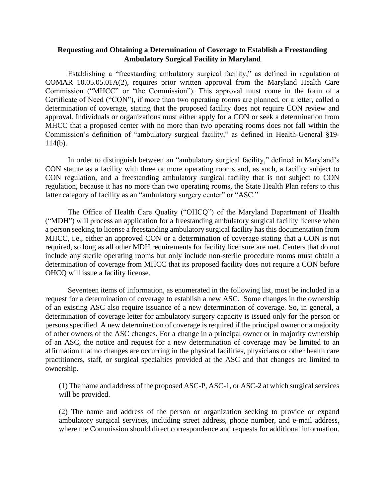## **Requesting and Obtaining a Determination of Coverage to Establish a Freestanding Ambulatory Surgical Facility in Maryland**

Establishing a "freestanding ambulatory surgical facility," as defined in regulation at COMAR 10.05.05.01A(2), requires prior written approval from the Maryland Health Care Commission ("MHCC" or "the Commission"). This approval must come in the form of a Certificate of Need ("CON"), if more than two operating rooms are planned, or a letter, called a determination of coverage, stating that the proposed facility does not require CON review and approval. Individuals or organizations must either apply for a CON or seek a determination from MHCC that a proposed center with no more than two operating rooms does not fall within the Commission's definition of "ambulatory surgical facility," as defined in Health-General §19- 114(b).

In order to distinguish between an "ambulatory surgical facility," defined in Maryland's CON statute as a facility with three or more operating rooms and, as such, a facility subject to CON regulation, and a freestanding ambulatory surgical facility that is not subject to CON regulation, because it has no more than two operating rooms, the State Health Plan refers to this latter category of facility as an "ambulatory surgery center" or "ASC."

The Office of Health Care Quality ("OHCQ") of the Maryland Department of Health ("MDH") will process an application for a freestanding ambulatory surgical facility license when a person seeking to license a freestanding ambulatory surgical facility has this documentation from MHCC, i.e., either an approved CON or a determination of coverage stating that a CON is not required, so long as all other MDH requirements for facility licensure are met. Centers that do not include any sterile operating rooms but only include non-sterile procedure rooms must obtain a determination of coverage from MHCC that its proposed facility does not require a CON before OHCQ will issue a facility license.

Seventeen items of information, as enumerated in the following list, must be included in a request for a determination of coverage to establish a new ASC. Some changes in the ownership of an existing ASC also require issuance of a new determination of coverage. So, in general, a determination of coverage letter for ambulatory surgery capacity is issued only for the person or persons specified. A new determination of coverage is required if the principal owner or a majority of other owners of the ASC changes. For a change in a principal owner or in majority ownership of an ASC, the notice and request for a new determination of coverage may be limited to an affirmation that no changes are occurring in the physical facilities, physicians or other health care practitioners, staff, or surgical specialties provided at the ASC and that changes are limited to ownership.

(1) The name and address of the proposed ASC-P, ASC-1, or ASC-2 at which surgical services will be provided.

(2) The name and address of the person or organization seeking to provide or expand ambulatory surgical services, including street address, phone number, and e-mail address, where the Commission should direct correspondence and requests for additional information.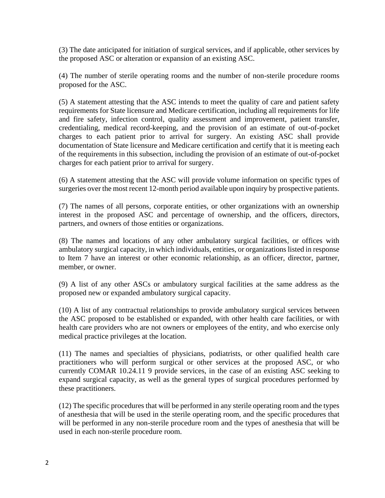(3) The date anticipated for initiation of surgical services, and if applicable, other services by the proposed ASC or alteration or expansion of an existing ASC.

(4) The number of sterile operating rooms and the number of non-sterile procedure rooms proposed for the ASC.

(5) A statement attesting that the ASC intends to meet the quality of care and patient safety requirements for State licensure and Medicare certification, including all requirements for life and fire safety, infection control, quality assessment and improvement, patient transfer, credentialing, medical record-keeping, and the provision of an estimate of out-of-pocket charges to each patient prior to arrival for surgery. An existing ASC shall provide documentation of State licensure and Medicare certification and certify that it is meeting each of the requirements in this subsection, including the provision of an estimate of out-of-pocket charges for each patient prior to arrival for surgery.

(6) A statement attesting that the ASC will provide volume information on specific types of surgeries over the most recent 12-month period available upon inquiry by prospective patients.

(7) The names of all persons, corporate entities, or other organizations with an ownership interest in the proposed ASC and percentage of ownership, and the officers, directors, partners, and owners of those entities or organizations.

(8) The names and locations of any other ambulatory surgical facilities, or offices with ambulatory surgical capacity, in which individuals, entities, or organizations listed in response to Item 7 have an interest or other economic relationship, as an officer, director, partner, member, or owner.

(9) A list of any other ASCs or ambulatory surgical facilities at the same address as the proposed new or expanded ambulatory surgical capacity.

(10) A list of any contractual relationships to provide ambulatory surgical services between the ASC proposed to be established or expanded, with other health care facilities, or with health care providers who are not owners or employees of the entity, and who exercise only medical practice privileges at the location.

(11) The names and specialties of physicians, podiatrists, or other qualified health care practitioners who will perform surgical or other services at the proposed ASC, or who currently COMAR 10.24.11 9 provide services, in the case of an existing ASC seeking to expand surgical capacity, as well as the general types of surgical procedures performed by these practitioners.

(12) The specific procedures that will be performed in any sterile operating room and the types of anesthesia that will be used in the sterile operating room, and the specific procedures that will be performed in any non-sterile procedure room and the types of anesthesia that will be used in each non-sterile procedure room.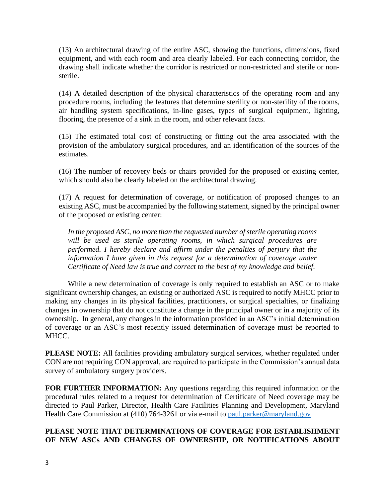(13) An architectural drawing of the entire ASC, showing the functions, dimensions, fixed equipment, and with each room and area clearly labeled. For each connecting corridor, the drawing shall indicate whether the corridor is restricted or non-restricted and sterile or nonsterile.

(14) A detailed description of the physical characteristics of the operating room and any procedure rooms, including the features that determine sterility or non-sterility of the rooms, air handling system specifications, in-line gases, types of surgical equipment, lighting, flooring, the presence of a sink in the room, and other relevant facts.

(15) The estimated total cost of constructing or fitting out the area associated with the provision of the ambulatory surgical procedures, and an identification of the sources of the estimates.

(16) The number of recovery beds or chairs provided for the proposed or existing center, which should also be clearly labeled on the architectural drawing.

(17) A request for determination of coverage, or notification of proposed changes to an existing ASC, must be accompanied by the following statement, signed by the principal owner of the proposed or existing center:

*In the proposed ASC, no more than the requested number of sterile operating rooms will be used as sterile operating rooms, in which surgical procedures are performed. I hereby declare and affirm under the penalties of perjury that the information I have given in this request for a determination of coverage under Certificate of Need law is true and correct to the best of my knowledge and belief.*

While a new determination of coverage is only required to establish an ASC or to make significant ownership changes, an existing or authorized ASC is required to notify MHCC prior to making any changes in its physical facilities, practitioners, or surgical specialties, or finalizing changes in ownership that do not constitute a change in the principal owner or in a majority of its ownership. In general, any changes in the information provided in an ASC's initial determination of coverage or an ASC's most recently issued determination of coverage must be reported to MHCC.

**PLEASE NOTE:** All facilities providing ambulatory surgical services, whether regulated under CON are not requiring CON approval, are required to participate in the Commission's annual data survey of ambulatory surgery providers.

**FOR FURTHER INFORMATION:** Any questions regarding this required information or the procedural rules related to a request for determination of Certificate of Need coverage may be directed to Paul Parker, Director, Health Care Facilities Planning and Development, Maryland Health Care Commission at (410) 764-3261 or via e-mail to [paul.parker@maryland.gov](mailto:paul.parker@maryland.gov)

## **PLEASE NOTE THAT DETERMINATIONS OF COVERAGE FOR ESTABLISHMENT OF NEW ASCs AND CHANGES OF OWNERSHIP, OR NOTIFICATIONS ABOUT**